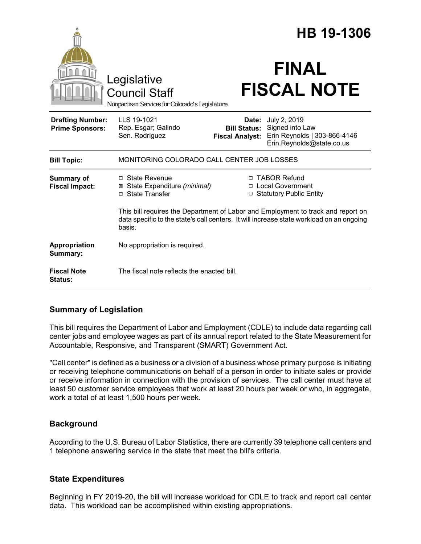|                                                   |                                                                                                                                                                                        |                                                        | HB 19-1306                                                                                   |
|---------------------------------------------------|----------------------------------------------------------------------------------------------------------------------------------------------------------------------------------------|--------------------------------------------------------|----------------------------------------------------------------------------------------------|
|                                                   | Legislative<br><b>Council Staff</b><br>Nonpartisan Services for Colorado's Legislature                                                                                                 |                                                        | <b>FINAL</b><br><b>FISCAL NOTE</b>                                                           |
| <b>Drafting Number:</b><br><b>Prime Sponsors:</b> | LLS 19-1021<br>Rep. Esgar; Galindo<br>Sen. Rodriguez                                                                                                                                   | Date:<br><b>Bill Status:</b><br><b>Fiscal Analyst:</b> | July 2, 2019<br>Signed into Law<br>Erin Reynolds   303-866-4146<br>Erin.Reynolds@state.co.us |
| <b>Bill Topic:</b>                                | MONITORING COLORADO CALL CENTER JOB LOSSES                                                                                                                                             |                                                        |                                                                                              |
| <b>Summary of</b><br><b>Fiscal Impact:</b>        | □ State Revenue<br>⊠ State Expenditure (minimal)<br>□ State Transfer                                                                                                                   |                                                        | □ TABOR Refund<br>□ Local Government<br>□ Statutory Public Entity                            |
|                                                   | This bill requires the Department of Labor and Employment to track and report on<br>data specific to the state's call centers. It will increase state workload on an ongoing<br>basis. |                                                        |                                                                                              |
| Appropriation<br>Summary:                         | No appropriation is required.                                                                                                                                                          |                                                        |                                                                                              |
| <b>Fiscal Note</b><br><b>Status:</b>              | The fiscal note reflects the enacted bill.                                                                                                                                             |                                                        |                                                                                              |

## **Summary of Legislation**

This bill requires the Department of Labor and Employment (CDLE) to include data regarding call center jobs and employee wages as part of its annual report related to the State Measurement for Accountable, Responsive, and Transparent (SMART) Government Act.

"Call center" is defined as a business or a division of a business whose primary purpose is initiating or receiving telephone communications on behalf of a person in order to initiate sales or provide or receive information in connection with the provision of services. The call center must have at least 50 customer service employees that work at least 20 hours per week or who, in aggregate, work a total of at least 1,500 hours per week.

## **Background**

According to the U.S. Bureau of Labor Statistics, there are currently 39 telephone call centers and 1 telephone answering service in the state that meet the bill's criteria.

## **State Expenditures**

Beginning in FY 2019-20, the bill will increase workload for CDLE to track and report call center data. This workload can be accomplished within existing appropriations.